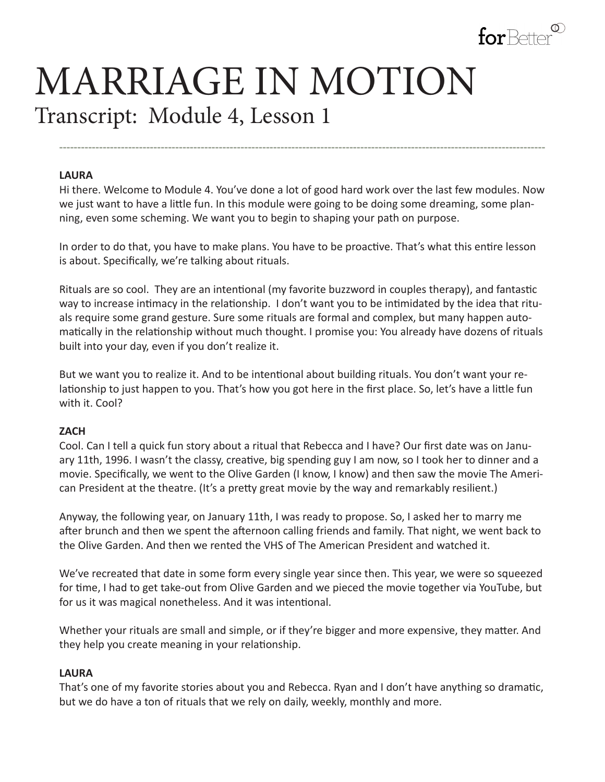

# MARRIAGE IN MOTION Transcript: Module 4, Lesson 1

#### **LAURA**

Hi there. Welcome to Module 4. You've done a lot of good hard work over the last few modules. Now we just want to have a little fun. In this module were going to be doing some dreaming, some planning, even some scheming. We want you to begin to shaping your path on purpose.

**--------------------------------------------------------------------------------------------------------------------------------------**

In order to do that, you have to make plans. You have to be proactive. That's what this entire lesson is about. Specifically, we're talking about rituals.

Rituals are so cool. They are an intentional (my favorite buzzword in couples therapy), and fantastic way to increase intimacy in the relationship. I don't want you to be intimidated by the idea that rituals require some grand gesture. Sure some rituals are formal and complex, but many happen automatically in the relationship without much thought. I promise you: You already have dozens of rituals built into your day, even if you don't realize it.

But we want you to realize it. And to be intentional about building rituals. You don't want your relationship to just happen to you. That's how you got here in the first place. So, let's have a little fun with it. Cool?

#### **ZACH**

Cool. Can I tell a quick fun story about a ritual that Rebecca and I have? Our first date was on January 11th, 1996. I wasn't the classy, creative, big spending guy I am now, so I took her to dinner and a movie. Specifically, we went to the Olive Garden (I know, I know) and then saw the movie The American President at the theatre. (It's a pretty great movie by the way and remarkably resilient.)

Anyway, the following year, on January 11th, I was ready to propose. So, I asked her to marry me after brunch and then we spent the afternoon calling friends and family. That night, we went back to the Olive Garden. And then we rented the VHS of The American President and watched it.

We've recreated that date in some form every single year since then. This year, we were so squeezed for time, I had to get take-out from Olive Garden and we pieced the movie together via YouTube, but for us it was magical nonetheless. And it was intentional.

Whether your rituals are small and simple, or if they're bigger and more expensive, they matter. And they help you create meaning in your relationship.

#### **LAURA**

That's one of my favorite stories about you and Rebecca. Ryan and I don't have anything so dramatic, but we do have a ton of rituals that we rely on daily, weekly, monthly and more.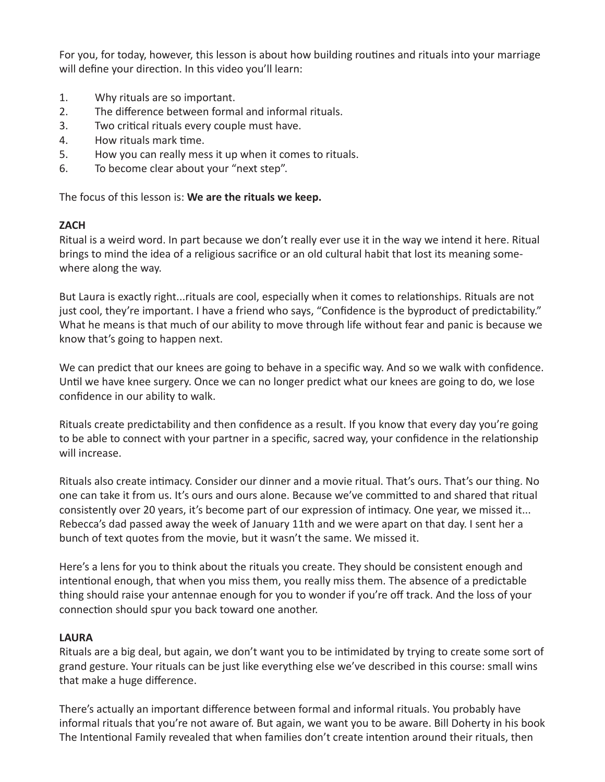For you, for today, however, this lesson is about how building routines and rituals into your marriage will define your direction. In this video you'll learn:

- 1. Why rituals are so important.
- 2. The difference between formal and informal rituals.
- 3. Two critical rituals every couple must have.
- 4. How rituals mark time.
- 5. How you can really mess it up when it comes to rituals.
- 6. To become clear about your "next step".

The focus of this lesson is: **We are the rituals we keep.**

## **ZACH**

Ritual is a weird word. In part because we don't really ever use it in the way we intend it here. Ritual brings to mind the idea of a religious sacrifice or an old cultural habit that lost its meaning somewhere along the way.

But Laura is exactly right...rituals are cool, especially when it comes to relationships. Rituals are not just cool, they're important. I have a friend who says, "Confidence is the byproduct of predictability." What he means is that much of our ability to move through life without fear and panic is because we know that's going to happen next.

We can predict that our knees are going to behave in a specific way. And so we walk with confidence. Until we have knee surgery. Once we can no longer predict what our knees are going to do, we lose confidence in our ability to walk.

Rituals create predictability and then confidence as a result. If you know that every day you're going to be able to connect with your partner in a specific, sacred way, your confidence in the relationship will increase.

Rituals also create intimacy. Consider our dinner and a movie ritual. That's ours. That's our thing. No one can take it from us. It's ours and ours alone. Because we've committed to and shared that ritual consistently over 20 years, it's become part of our expression of intimacy. One year, we missed it... Rebecca's dad passed away the week of January 11th and we were apart on that day. I sent her a bunch of text quotes from the movie, but it wasn't the same. We missed it.

Here's a lens for you to think about the rituals you create. They should be consistent enough and intentional enough, that when you miss them, you really miss them. The absence of a predictable thing should raise your antennae enough for you to wonder if you're off track. And the loss of your connection should spur you back toward one another.

## **LAURA**

Rituals are a big deal, but again, we don't want you to be intimidated by trying to create some sort of grand gesture. Your rituals can be just like everything else we've described in this course: small wins that make a huge difference.

There's actually an important difference between formal and informal rituals. You probably have informal rituals that you're not aware of. But again, we want you to be aware. Bill Doherty in his book The Intentional Family revealed that when families don't create intention around their rituals, then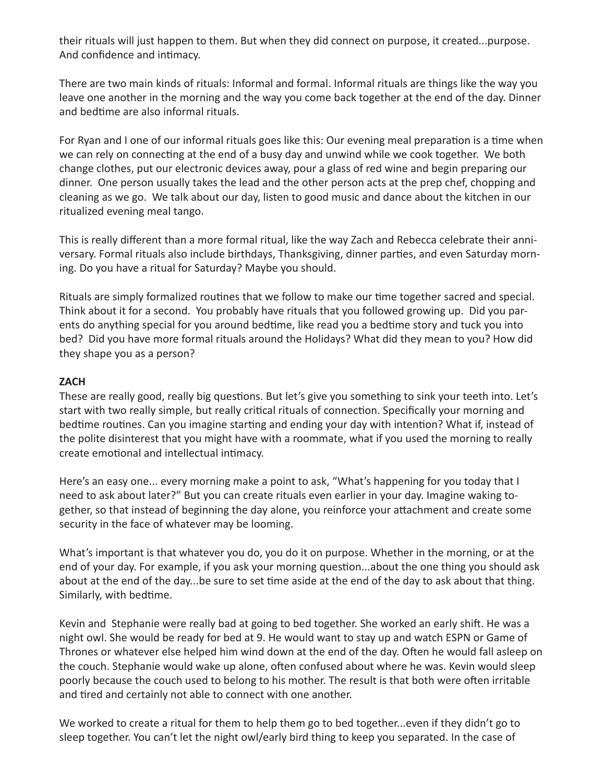their rituals will just happen to them. But when they did connect on purpose, it created...purpose. And confidence and intimacy.

There are two main kinds of rituals: Informal and formal. Informal rituals are things like the way you leave one another in the morning and the way you come back together at the end of the day. Dinner and bedtime are also informal rituals.

For Ryan and I one of our informal rituals goes like this: Our evening meal preparation is a time when we can rely on connecting at the end of a busy day and unwind while we cook together. We both change clothes, put our electronic devices away, pour a glass of red wine and begin preparing our dinner. One person usually takes the lead and the other person acts at the prep chef, chopping and cleaning as we go. We talk about our day, listen to good music and dance about the kitchen in our ritualized evening meal tango.

This is really different than a more formal ritual, like the way Zach and Rebecca celebrate their anniversary. Formal rituals also include birthdays, Thanksgiving, dinner parties, and even Saturday morning. Do you have a ritual for Saturday? Maybe you should.

Rituals are simply formalized routines that we follow to make our time together sacred and special. Think about it for a second. You probably have rituals that you followed growing up. Did you parents do anything special for you around bedtime, like read you a bedtime story and tuck you into bed? Did you have more formal rituals around the Holidays? What did they mean to you? How did they shape you as a person?

### **ZACH**

These are really good, really big questions. But let's give you something to sink your teeth into. Let's start with two really simple, but really critical rituals of connection. Specifically your morning and bedtime routines. Can you imagine starting and ending your day with intention? What if, instead of the polite disinterest that you might have with a roommate, what if you used the morning to really create emotional and intellectual intimacy.

Here's an easy one... every morning make a point to ask, "What's happening for you today that I need to ask about later?" But you can create rituals even earlier in your day. Imagine waking together, so that instead of beginning the day alone, you reinforce your attachment and create some security in the face of whatever may be looming.

What's important is that whatever you do, you do it on purpose. Whether in the morning, or at the end of your day. For example, if you ask your morning question...about the one thing you should ask about at the end of the day...be sure to set time aside at the end of the day to ask about that thing. Similarly, with bedtime.

Kevin and Stephanie were really bad at going to bed together. She worked an early shift. He was a night owl. She would be ready for bed at 9. He would want to stay up and watch ESPN or Game of Thrones or whatever else helped him wind down at the end of the day. Often he would fall asleep on the couch. Stephanie would wake up alone, often confused about where he was. Kevin would sleep poorly because the couch used to belong to his mother. The result is that both were often irritable and tired and certainly not able to connect with one another.

We worked to create a ritual for them to help them go to bed together...even if they didn't go to sleep together. You can't let the night owl/early bird thing to keep you separated. In the case of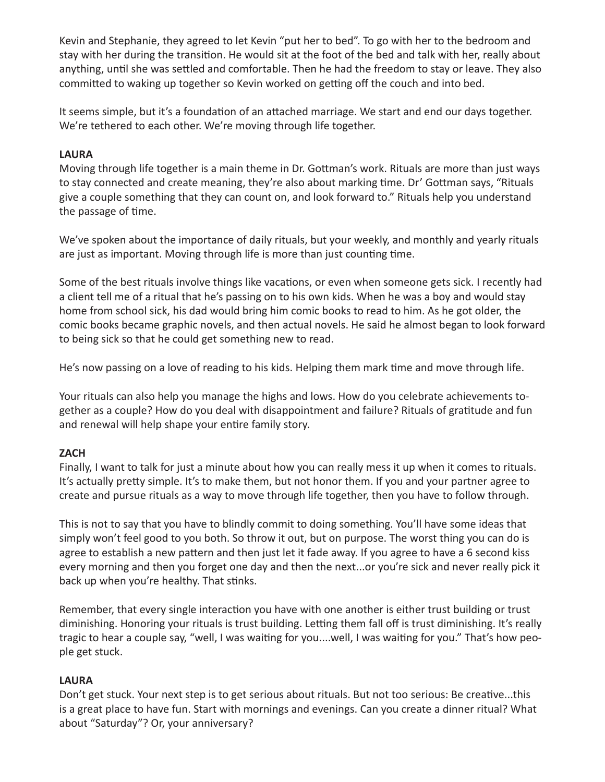Kevin and Stephanie, they agreed to let Kevin "put her to bed". To go with her to the bedroom and stay with her during the transition. He would sit at the foot of the bed and talk with her, really about anything, until she was settled and comfortable. Then he had the freedom to stay or leave. They also committed to waking up together so Kevin worked on getting off the couch and into bed.

It seems simple, but it's a foundation of an attached marriage. We start and end our days together. We're tethered to each other. We're moving through life together.

## **LAURA**

Moving through life together is a main theme in Dr. Gottman's work. Rituals are more than just ways to stay connected and create meaning, they're also about marking time. Dr' Gottman says, "Rituals give a couple something that they can count on, and look forward to." Rituals help you understand the passage of time.

We've spoken about the importance of daily rituals, but your weekly, and monthly and yearly rituals are just as important. Moving through life is more than just counting time.

Some of the best rituals involve things like vacations, or even when someone gets sick. I recently had a client tell me of a ritual that he's passing on to his own kids. When he was a boy and would stay home from school sick, his dad would bring him comic books to read to him. As he got older, the comic books became graphic novels, and then actual novels. He said he almost began to look forward to being sick so that he could get something new to read.

He's now passing on a love of reading to his kids. Helping them mark time and move through life.

Your rituals can also help you manage the highs and lows. How do you celebrate achievements together as a couple? How do you deal with disappointment and failure? Rituals of gratitude and fun and renewal will help shape your entire family story.

## **ZACH**

Finally, I want to talk for just a minute about how you can really mess it up when it comes to rituals. It's actually pretty simple. It's to make them, but not honor them. If you and your partner agree to create and pursue rituals as a way to move through life together, then you have to follow through.

This is not to say that you have to blindly commit to doing something. You'll have some ideas that simply won't feel good to you both. So throw it out, but on purpose. The worst thing you can do is agree to establish a new pattern and then just let it fade away. If you agree to have a 6 second kiss every morning and then you forget one day and then the next...or you're sick and never really pick it back up when you're healthy. That stinks.

Remember, that every single interaction you have with one another is either trust building or trust diminishing. Honoring your rituals is trust building. Letting them fall off is trust diminishing. It's really tragic to hear a couple say, "well, I was waiting for you....well, I was waiting for you." That's how people get stuck.

## **LAURA**

Don't get stuck. Your next step is to get serious about rituals. But not too serious: Be creative...this is a great place to have fun. Start with mornings and evenings. Can you create a dinner ritual? What about "Saturday"? Or, your anniversary?